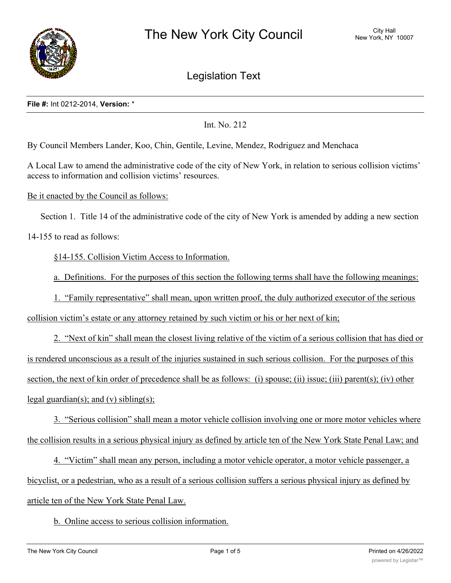

Legislation Text

#### **File #:** Int 0212-2014, **Version:** \*

Int. No. 212

By Council Members Lander, Koo, Chin, Gentile, Levine, Mendez, Rodriguez and Menchaca

A Local Law to amend the administrative code of the city of New York, in relation to serious collision victims' access to information and collision victims' resources.

Be it enacted by the Council as follows:

Section 1. Title 14 of the administrative code of the city of New York is amended by adding a new section

14-155 to read as follows:

§14-155. Collision Victim Access to Information.

a. Definitions. For the purposes of this section the following terms shall have the following meanings:

1. "Family representative" shall mean, upon written proof, the duly authorized executor of the serious

collision victim's estate or any attorney retained by such victim or his or her next of kin;

2. "Next of kin" shall mean the closest living relative of the victim of a serious collision that has died or is rendered unconscious as a result of the injuries sustained in such serious collision. For the purposes of this section, the next of kin order of precedence shall be as follows: (i) spouse; (ii) issue; (iii) parent(s); (iv) other legal guardian(s); and (v) sibling(s);

3. "Serious collision" shall mean a motor vehicle collision involving one or more motor vehicles where the collision results in a serious physical injury as defined by article ten of the New York State Penal Law; and

4. "Victim" shall mean any person, including a motor vehicle operator, a motor vehicle passenger, a bicyclist, or a pedestrian, who as a result of a serious collision suffers a serious physical injury as defined by article ten of the New York State Penal Law.

b. Online access to serious collision information.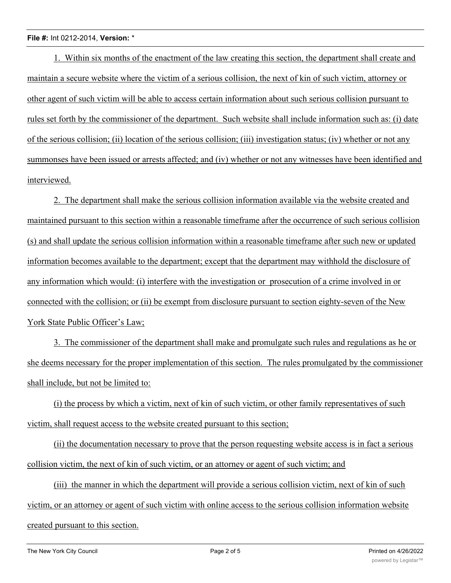1. Within six months of the enactment of the law creating this section, the department shall create and maintain a secure website where the victim of a serious collision, the next of kin of such victim, attorney or other agent of such victim will be able to access certain information about such serious collision pursuant to rules set forth by the commissioner of the department. Such website shall include information such as: (i) date of the serious collision; (ii) location of the serious collision; (iii) investigation status; (iv) whether or not any summonses have been issued or arrests affected; and (iv) whether or not any witnesses have been identified and interviewed.

2. The department shall make the serious collision information available via the website created and maintained pursuant to this section within a reasonable timeframe after the occurrence of such serious collision (s) and shall update the serious collision information within a reasonable timeframe after such new or updated information becomes available to the department; except that the department may withhold the disclosure of any information which would: (i) interfere with the investigation or prosecution of a crime involved in or connected with the collision; or (ii) be exempt from disclosure pursuant to section eighty-seven of the New York State Public Officer's Law;

3. The commissioner of the department shall make and promulgate such rules and regulations as he or she deems necessary for the proper implementation of this section. The rules promulgated by the commissioner shall include, but not be limited to:

(i) the process by which a victim, next of kin of such victim, or other family representatives of such victim, shall request access to the website created pursuant to this section;

(ii) the documentation necessary to prove that the person requesting website access is in fact a serious collision victim, the next of kin of such victim, or an attorney or agent of such victim; and

(iii) the manner in which the department will provide a serious collision victim, next of kin of such victim, or an attorney or agent of such victim with online access to the serious collision information website created pursuant to this section.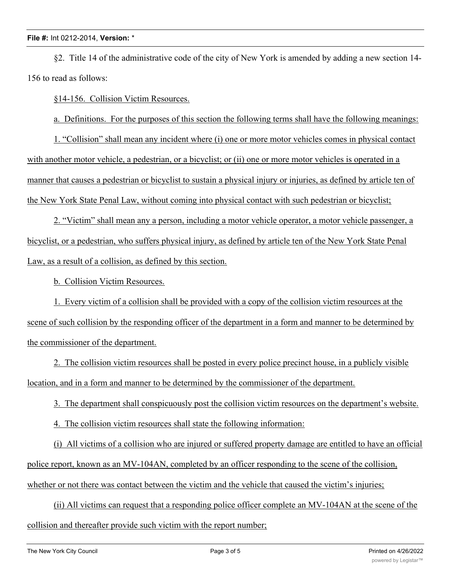§2. Title 14 of the administrative code of the city of New York is amended by adding a new section 14- 156 to read as follows:

§14-156. Collision Victim Resources.

a. Definitions. For the purposes of this section the following terms shall have the following meanings:

1. "Collision" shall mean any incident where (i) one or more motor vehicles comes in physical contact with another motor vehicle, a pedestrian, or a bicyclist; or (ii) one or more motor vehicles is operated in a manner that causes a pedestrian or bicyclist to sustain a physical injury or injuries, as defined by article ten of the New York State Penal Law, without coming into physical contact with such pedestrian or bicyclist;

2. "Victim" shall mean any a person, including a motor vehicle operator, a motor vehicle passenger, a bicyclist, or a pedestrian, who suffers physical injury, as defined by article ten of the New York State Penal Law, as a result of a collision, as defined by this section.

b. Collision Victim Resources.

1. Every victim of a collision shall be provided with a copy of the collision victim resources at the scene of such collision by the responding officer of the department in a form and manner to be determined by the commissioner of the department.

2. The collision victim resources shall be posted in every police precinct house, in a publicly visible location, and in a form and manner to be determined by the commissioner of the department.

3. The department shall conspicuously post the collision victim resources on the department's website.

4. The collision victim resources shall state the following information:

(i) All victims of a collision who are injured or suffered property damage are entitled to have an official police report, known as an MV-104AN, completed by an officer responding to the scene of the collision, whether or not there was contact between the victim and the vehicle that caused the victim's injuries;

(ii) All victims can request that a responding police officer complete an MV-104AN at the scene of the collision and thereafter provide such victim with the report number;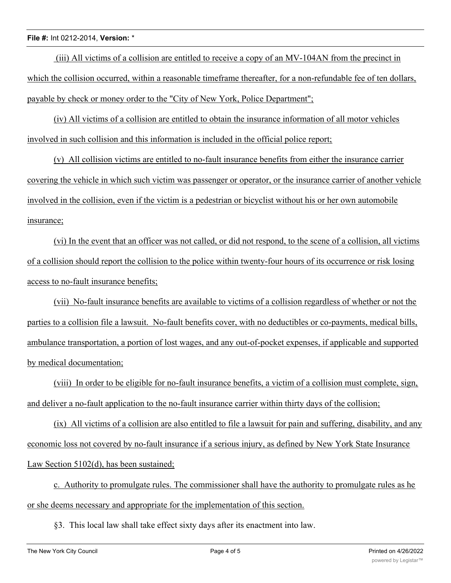(iii) All victims of a collision are entitled to receive a copy of an MV-104AN from the precinct in which the collision occurred, within a reasonable timeframe thereafter, for a non-refundable fee of ten dollars, payable by check or money order to the "City of New York, Police Department";

(iv) All victims of a collision are entitled to obtain the insurance information of all motor vehicles involved in such collision and this information is included in the official police report;

(v) All collision victims are entitled to no-fault insurance benefits from either the insurance carrier covering the vehicle in which such victim was passenger or operator, or the insurance carrier of another vehicle involved in the collision, even if the victim is a pedestrian or bicyclist without his or her own automobile insurance;

(vi) In the event that an officer was not called, or did not respond, to the scene of a collision, all victims of a collision should report the collision to the police within twenty-four hours of its occurrence or risk losing access to no-fault insurance benefits;

(vii) No-fault insurance benefits are available to victims of a collision regardless of whether or not the parties to a collision file a lawsuit. No-fault benefits cover, with no deductibles or co-payments, medical bills, ambulance transportation, a portion of lost wages, and any out-of-pocket expenses, if applicable and supported by medical documentation;

(viii) In order to be eligible for no-fault insurance benefits, a victim of a collision must complete, sign, and deliver a no-fault application to the no-fault insurance carrier within thirty days of the collision;

(ix) All victims of a collision are also entitled to file a lawsuit for pain and suffering, disability, and any economic loss not covered by no-fault insurance if a serious injury, as defined by New York State Insurance Law Section 5102(d), has been sustained;

c. Authority to promulgate rules. The commissioner shall have the authority to promulgate rules as he or she deems necessary and appropriate for the implementation of this section.

§3. This local law shall take effect sixty days after its enactment into law.